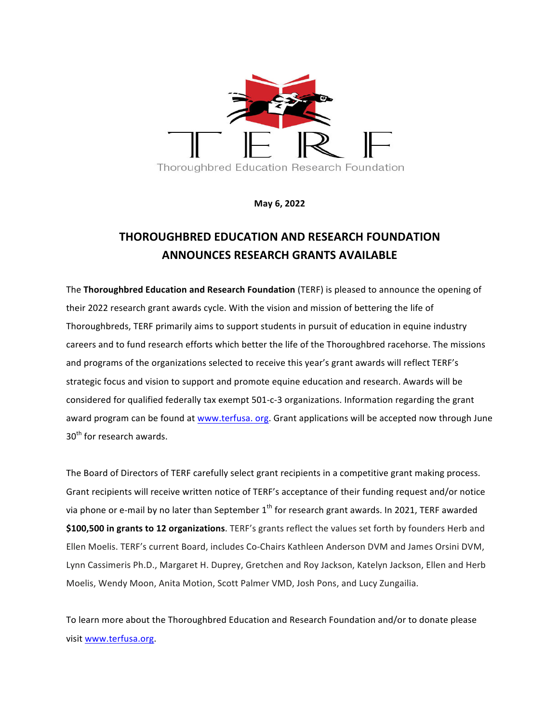

**May 6, 2022**

## **THOROUGHBRED EDUCATION AND RESEARCH FOUNDATION ANNOUNCES RESEARCH GRANTS AVAILABLE**

The **Thoroughbred Education and Research Foundation** (TERF) is pleased to announce the opening of their 2022 research grant awards cycle. With the vision and mission of bettering the life of Thoroughbreds, TERF primarily aims to support students in pursuit of education in equine industry careers and to fund research efforts which better the life of the Thoroughbred racehorse. The missions and programs of the organizations selected to receive this year's grant awards will reflect TERF's strategic focus and vision to support and promote equine education and research. Awards will be considered for qualified federally tax exempt 501-c-3 organizations. Information regarding the grant award program can be found at www.terfusa. org. Grant applications will be accepted now through June 30<sup>th</sup> for research awards.

The Board of Directors of TERF carefully select grant recipients in a competitive grant making process. Grant recipients will receive written notice of TERF's acceptance of their funding request and/or notice via phone or e-mail by no later than September  $1<sup>th</sup>$  for research grant awards. In 2021, TERF awarded \$100,500 in grants to 12 organizations. TERF's grants reflect the values set forth by founders Herb and Ellen Moelis. TERF's current Board, includes Co-Chairs Kathleen Anderson DVM and James Orsini DVM, Lynn Cassimeris Ph.D., Margaret H. Duprey, Gretchen and Roy Jackson, Katelyn Jackson, Ellen and Herb Moelis, Wendy Moon, Anita Motion, Scott Palmer VMD, Josh Pons, and Lucy Zungailia.

To learn more about the Thoroughbred Education and Research Foundation and/or to donate please visit www.terfusa.org.